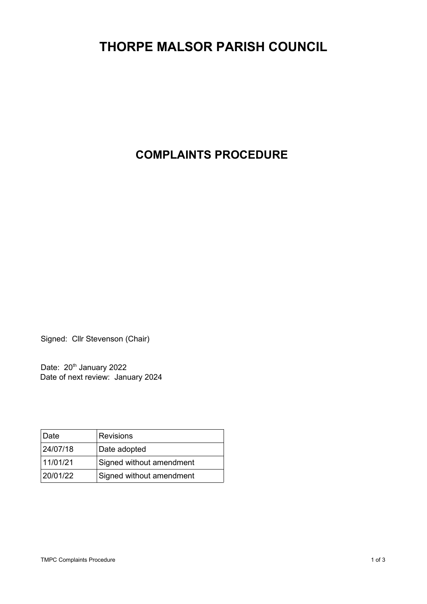## **THORPE MALSOR PARISH COUNCIL**

## **COMPLAINTS PROCEDURE**

Signed: Cllr Stevenson (Chair)

Date: 20<sup>th</sup> January 2022 Date of next review: January 2024

| Date     | <b>Revisions</b>         |
|----------|--------------------------|
| 24/07/18 | Date adopted             |
| 11/01/21 | Signed without amendment |
| 20/01/22 | Signed without amendment |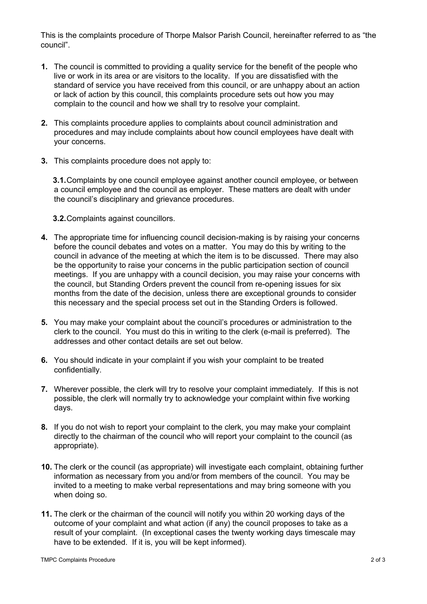This is the complaints procedure of Thorpe Malsor Parish Council, hereinafter referred to as "the council".

- **1.** The council is committed to providing a quality service for the benefit of the people who live or work in its area or are visitors to the locality. If you are dissatisfied with the standard of service you have received from this council, or are unhappy about an action or lack of action by this council, this complaints procedure sets out how you may complain to the council and how we shall try to resolve your complaint.
- **2.** This complaints procedure applies to complaints about council administration and procedures and may include complaints about how council employees have dealt with your concerns.
- **3.** This complaints procedure does not apply to:

**3.1.**Complaints by one council employee against another council employee, or between a council employee and the council as employer. These matters are dealt with under the council's disciplinary and grievance procedures.

**3.2.**Complaints against councillors.

- **4.** The appropriate time for influencing council decision-making is by raising your concerns before the council debates and votes on a matter. You may do this by writing to the council in advance of the meeting at which the item is to be discussed. There may also be the opportunity to raise your concerns in the public participation section of council meetings. If you are unhappy with a council decision, you may raise your concerns with the council, but Standing Orders prevent the council from re-opening issues for six months from the date of the decision, unless there are exceptional grounds to consider this necessary and the special process set out in the Standing Orders is followed.
- **5.** You may make your complaint about the council's procedures or administration to the clerk to the council. You must do this in writing to the clerk (e-mail is preferred). The addresses and other contact details are set out below.
- **6.** You should indicate in your complaint if you wish your complaint to be treated confidentially.
- **7.** Wherever possible, the clerk will try to resolve your complaint immediately. If this is not possible, the clerk will normally try to acknowledge your complaint within five working days.
- **8.** If you do not wish to report your complaint to the clerk, you may make your complaint directly to the chairman of the council who will report your complaint to the council (as appropriate).
- **10.** The clerk or the council (as appropriate) will investigate each complaint, obtaining further information as necessary from you and/or from members of the council. You may be invited to a meeting to make verbal representations and may bring someone with you when doing so.
- **11.** The clerk or the chairman of the council will notify you within 20 working days of the outcome of your complaint and what action (if any) the council proposes to take as a result of your complaint. (In exceptional cases the twenty working days timescale may have to be extended. If it is, you will be kept informed).